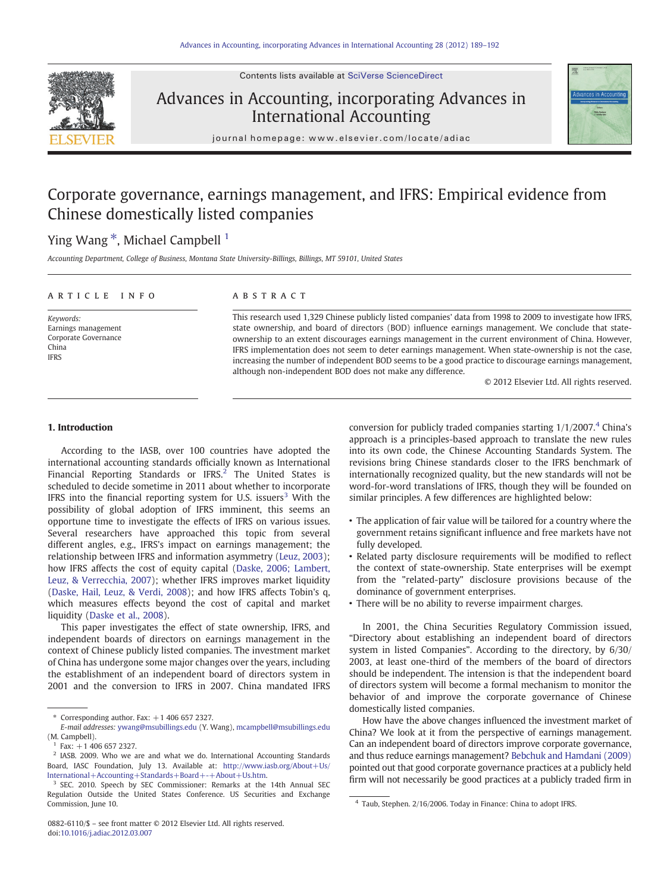Contents lists available at [SciVerse ScienceDirect](http://www.sciencedirect.com/science/journal/08826110)

# Advances in Accounting, incorporating Advances in International Accounting



journal homepage: www.elsevier.com/locate/adiac

## Corporate governance, earnings management, and IFRS: Empirical evidence from Chinese domestically listed companies

## Ying Wang<sup>\*</sup>, Michael Campbell<sup>1</sup>

Accounting Department, College of Business, Montana State University-Billings, Billings, MT 59101, United States

### article info abstract

Keywords: Earnings management Corporate Governance China **IFRS** 

This research used 1,329 Chinese publicly listed companies' data from 1998 to 2009 to investigate how IFRS, state ownership, and board of directors (BOD) influence earnings management. We conclude that stateownership to an extent discourages earnings management in the current environment of China. However, IFRS implementation does not seem to deter earnings management. When state-ownership is not the case, increasing the number of independent BOD seems to be a good practice to discourage earnings management, although non-independent BOD does not make any difference.

© 2012 Elsevier Ltd. All rights reserved.

#### 1. Introduction

According to the IASB, over 100 countries have adopted the international accounting standards officially known as International Financial Reporting Standards or IFRS.<sup>2</sup> The United States is scheduled to decide sometime in 2011 about whether to incorporate IFRS into the financial reporting system for U.S. issuers<sup>3</sup> With the possibility of global adoption of IFRS imminent, this seems an opportune time to investigate the effects of IFRS on various issues. Several researchers have approached this topic from several different angles, e.g., IFRS's impact on earnings management; the relationship between IFRS and information asymmetry [\(Leuz, 2003](#page--1-0)); how IFRS affects the cost of equity capital [\(Daske, 2006; Lambert,](#page--1-0) [Leuz, & Verrecchia, 2007\)](#page--1-0); whether IFRS improves market liquidity [\(Daske, Hail, Leuz, & Verdi, 2008](#page--1-0)); and how IFRS affects Tobin's q, which measures effects beyond the cost of capital and market liquidity ([Daske et al., 2008](#page--1-0)).

This paper investigates the effect of state ownership, IFRS, and independent boards of directors on earnings management in the context of Chinese publicly listed companies. The investment market of China has undergone some major changes over the years, including the establishment of an independent board of directors system in 2001 and the conversion to IFRS in 2007. China mandated IFRS

0882-6110/\$ – see front matter © 2012 Elsevier Ltd. All rights reserved. doi:[10.1016/j.adiac.2012.03.007](http://dx.doi.org/10.1016/j.adiac.2012.03.007)

conversion for publicly traded companies starting  $1/1/2007$ .<sup>4</sup> China's approach is a principles-based approach to translate the new rules into its own code, the Chinese Accounting Standards System. The revisions bring Chinese standards closer to the IFRS benchmark of internationally recognized quality, but the new standards will not be word-for-word translations of IFRS, though they will be founded on similar principles. A few differences are highlighted below:

- The application of fair value will be tailored for a country where the government retains significant influence and free markets have not fully developed.
- Related party disclosure requirements will be modified to reflect the context of state-ownership. State enterprises will be exempt from the "related-party" disclosure provisions because of the dominance of government enterprises.
- There will be no ability to reverse impairment charges.

In 2001, the China Securities Regulatory Commission issued, "Directory about establishing an independent board of directors system in listed Companies". According to the directory, by 6/30/ 2003, at least one-third of the members of the board of directors should be independent. The intension is that the independent board of directors system will become a formal mechanism to monitor the behavior of and improve the corporate governance of Chinese domestically listed companies.

How have the above changes influenced the investment market of China? We look at it from the perspective of earnings management. Can an independent board of directors improve corporate governance, and thus reduce earnings management? [Bebchuk and Hamdani \(2009\)](#page--1-0) pointed out that good corporate governance practices at a publicly held firm will not necessarily be good practices at a publicly traded firm in

 $*$  Corresponding author. Fax:  $+1$  406 657 2327.

E-mail addresses: [ywang@msubillings.edu](mailto:ywang@msubillings.edu) (Y. Wang), [mcampbell@msubillings.edu](mailto:mcampbell@msubillings.edu) (M. Campbell).

 $1$  Fax:  $+1$  406 657 2327.

<sup>&</sup>lt;sup>2</sup> IASB. 2009. Who we are and what we do. International Accounting Standards Board, IASC Foundation, July 13. Available at: [http://www.iasb.org/About+Us/](http://www.iasb.org/About+Us/International+Accounting+Standards+Board+-+About+Us.htm) [International+Accounting+Standards+Board+-+About+Us.htm](http://www.iasb.org/About+Us/International+Accounting+Standards+Board+-+About+Us.htm).

<sup>3</sup> SEC. 2010. Speech by SEC Commissioner: Remarks at the 14th Annual SEC Regulation Outside the United States Conference. US Securities and Exchange Commission, June 10. 4 Taub, Stephen. 2/16/2006. Today in Finance: China to adopt IFRS.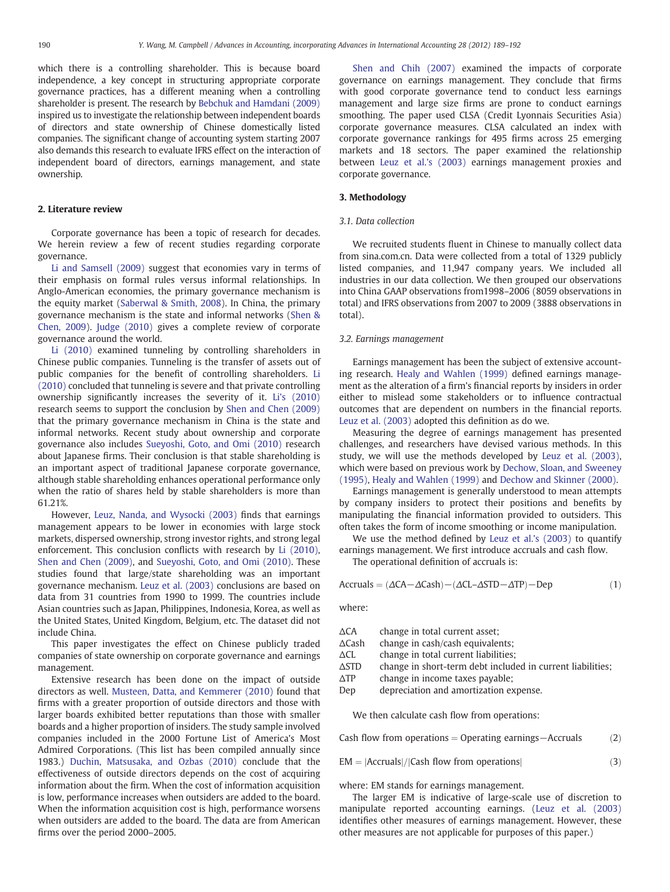which there is a controlling shareholder. This is because board independence, a key concept in structuring appropriate corporate governance practices, has a different meaning when a controlling shareholder is present. The research by [Bebchuk and Hamdani \(2009\)](#page--1-0) inspired us to investigate the relationship between independent boards of directors and state ownership of Chinese domestically listed companies. The significant change of accounting system starting 2007 also demands this research to evaluate IFRS effect on the interaction of independent board of directors, earnings management, and state ownership.

#### 2. Literature review

Corporate governance has been a topic of research for decades. We herein review a few of recent studies regarding corporate governance.

[Li and Samsell \(2009\)](#page--1-0) suggest that economies vary in terms of their emphasis on formal rules versus informal relationships. In Anglo-American economies, the primary governance mechanism is the equity market [\(Saberwal & Smith, 2008\)](#page--1-0). In China, the primary governance mechanism is the state and informal networks ([Shen &](#page--1-0) [Chen, 2009\)](#page--1-0). [Judge \(2010\)](#page--1-0) gives a complete review of corporate governance around the world.

[Li \(2010\)](#page--1-0) examined tunneling by controlling shareholders in Chinese public companies. Tunneling is the transfer of assets out of public companies for the benefit of controlling shareholders. [Li](#page--1-0) [\(2010\)](#page--1-0) concluded that tunneling is severe and that private controlling ownership significantly increases the severity of it. [Li's \(2010\)](#page--1-0) research seems to support the conclusion by [Shen and Chen \(2009\)](#page--1-0) that the primary governance mechanism in China is the state and informal networks. Recent study about ownership and corporate governance also includes [Sueyoshi, Goto, and Omi \(2010\)](#page--1-0) research about Japanese firms. Their conclusion is that stable shareholding is an important aspect of traditional Japanese corporate governance, although stable shareholding enhances operational performance only when the ratio of shares held by stable shareholders is more than 61.21%.

However, [Leuz, Nanda, and Wysocki \(2003\)](#page--1-0) finds that earnings management appears to be lower in economies with large stock markets, dispersed ownership, strong investor rights, and strong legal enforcement. This conclusion conflicts with research by [Li \(2010\),](#page--1-0) [Shen and Chen \(2009\),](#page--1-0) and [Sueyoshi, Goto, and Omi \(2010\).](#page--1-0) These studies found that large/state shareholding was an important governance mechanism. [Leuz et al. \(2003\)](#page--1-0) conclusions are based on data from 31 countries from 1990 to 1999. The countries include Asian countries such as Japan, Philippines, Indonesia, Korea, as well as the United States, United Kingdom, Belgium, etc. The dataset did not include China.

This paper investigates the effect on Chinese publicly traded companies of state ownership on corporate governance and earnings management.

Extensive research has been done on the impact of outside directors as well. [Musteen, Datta, and Kemmerer \(2010\)](#page--1-0) found that firms with a greater proportion of outside directors and those with larger boards exhibited better reputations than those with smaller boards and a higher proportion of insiders. The study sample involved companies included in the 2000 Fortune List of America's Most Admired Corporations. (This list has been compiled annually since 1983.) [Duchin, Matsusaka, and Ozbas \(2010\)](#page--1-0) conclude that the effectiveness of outside directors depends on the cost of acquiring information about the firm. When the cost of information acquisition is low, performance increases when outsiders are added to the board. When the information acquisition cost is high, performance worsens when outsiders are added to the board. The data are from American firms over the period 2000–2005.

[Shen and Chih \(2007\)](#page--1-0) examined the impacts of corporate governance on earnings management. They conclude that firms with good corporate governance tend to conduct less earnings management and large size firms are prone to conduct earnings smoothing. The paper used CLSA (Credit Lyonnais Securities Asia) corporate governance measures. CLSA calculated an index with corporate governance rankings for 495 firms across 25 emerging markets and 18 sectors. The paper examined the relationship between [Leuz et al.'s \(2003\)](#page--1-0) earnings management proxies and corporate governance.

#### 3. Methodology

#### 3.1. Data collection

We recruited students fluent in Chinese to manually collect data from sina.com.cn. Data were collected from a total of 1329 publicly listed companies, and 11,947 company years. We included all industries in our data collection. We then grouped our observations into China GAAP observations from1998–2006 (8059 observations in total) and IFRS observations from 2007 to 2009 (3888 observations in total).

#### 3.2. Earnings management

Earnings management has been the subject of extensive accounting research. [Healy and Wahlen \(1999\)](#page--1-0) defined earnings management as the alteration of a firm's financial reports by insiders in order either to mislead some stakeholders or to influence contractual outcomes that are dependent on numbers in the financial reports. [Leuz et al. \(2003\)](#page--1-0) adopted this definition as do we.

Measuring the degree of earnings management has presented challenges, and researchers have devised various methods. In this study, we will use the methods developed by [Leuz et al. \(2003\),](#page--1-0) which were based on previous work by [Dechow, Sloan, and Sweeney](#page--1-0) [\(1995\),](#page--1-0) [Healy and Wahlen \(1999\)](#page--1-0) and [Dechow and Skinner \(2000\).](#page--1-0)

Earnings management is generally understood to mean attempts by company insiders to protect their positions and benefits by manipulating the financial information provided to outsiders. This often takes the form of income smoothing or income manipulation.

We use the method defined by [Leuz et al.'s \(2003\)](#page--1-0) to quantify earnings management. We first introduce accruals and cash flow.

The operational definition of accruals is:

$$
Accruals = (\Delta CA - \Delta Cash) - (\Delta CL - \Delta STD - \Delta TP) - Dep
$$
 (1)

where:

| ΔСΑ             | change in total current asset:                             |
|-----------------|------------------------------------------------------------|
| $\Delta$ Cash   | change in cash/cash equivalents;                           |
| $\Delta CL$     | change in total current liabilities;                       |
| $\triangle$ STD | change in short-term debt included in current liabilities; |
| <b>ATP</b>      | change in income taxes payable;                            |
| Dep             | depreciation and amortization expense.                     |
|                 |                                                            |

We then calculate cash flow from operations:

Cash flow from operations = Operating earnings–Accruals  $(2)$ 

$$
EM = |Accruals| / |Cash flow from operations|
$$
 (3)

where: EM stands for earnings management.

The larger EM is indicative of large-scale use of discretion to manipulate reported accounting earnings. [\(Leuz et al. \(2003\)](#page--1-0) identifies other measures of earnings management. However, these other measures are not applicable for purposes of this paper.)